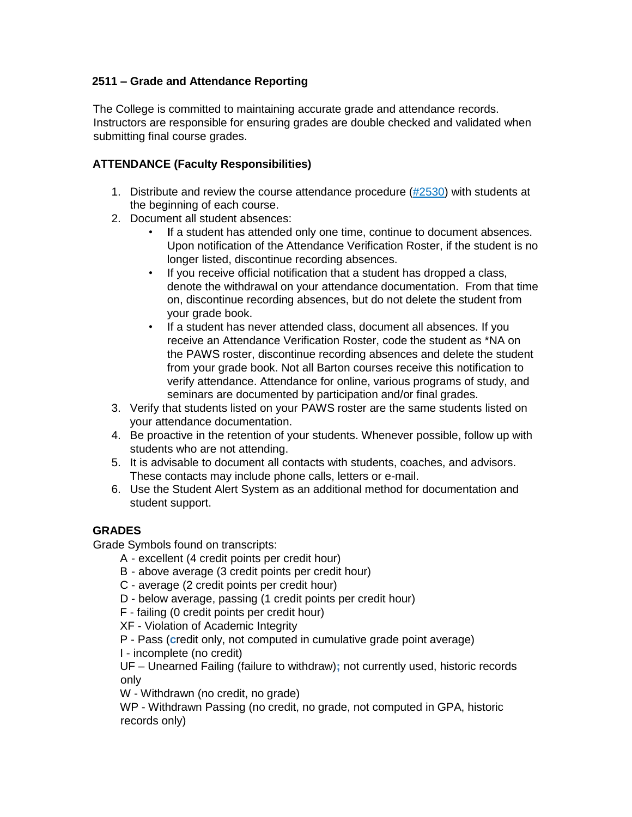# **2511 – Grade and Attendance Reporting**

The College is committed to maintaining accurate grade and attendance records. Instructors are responsible for ensuring grades are double checked and validated when submitting final course grades.

## **ATTENDANCE (Faculty Responsibilities)**

- 1. Distribute and review the course attendance procedure  $(\#2530)$  with students at the beginning of each course.
- 2. Document all student absences:
	- If a student has attended only one time, continue to document absences. Upon notification of the Attendance Verification Roster, if the student is no longer listed, discontinue recording absences.
	- If you receive official notification that a student has dropped a class, denote the withdrawal on your attendance documentation. From that time on, discontinue recording absences, but do not delete the student from your grade book.
	- If a student has never attended class, document all absences. If you receive an Attendance Verification Roster, code the student as \*NA on the PAWS roster, discontinue recording absences and delete the student from your grade book. Not all Barton courses receive this notification to verify attendance. Attendance for online, various programs of study, and seminars are documented by participation and/or final grades.
- 3. Verify that students listed on your PAWS roster are the same students listed on your attendance documentation.
- 4. Be proactive in the retention of your students. Whenever possible, follow up with students who are not attending.
- 5. It is advisable to document all contacts with students, coaches, and advisors. These contacts may include phone calls, letters or e-mail.
- 6. Use the Student Alert System as an additional method for documentation and student support.

### **GRADES**

Grade Symbols found on transcripts:

- A excellent (4 credit points per credit hour)
- B above average (3 credit points per credit hour)
- C average (2 credit points per credit hour)
- D below average, passing (1 credit points per credit hour)
- F failing (0 credit points per credit hour)

XF - Violation of Academic Integrity

P - Pass (**c**redit only, not computed in cumulative grade point average)

I - incomplete (no credit)

UF – Unearned Failing (failure to withdraw)**;** not currently used, historic records only

W - Withdrawn (no credit, no grade)

WP - Withdrawn Passing (no credit, no grade, not computed in GPA, historic records only)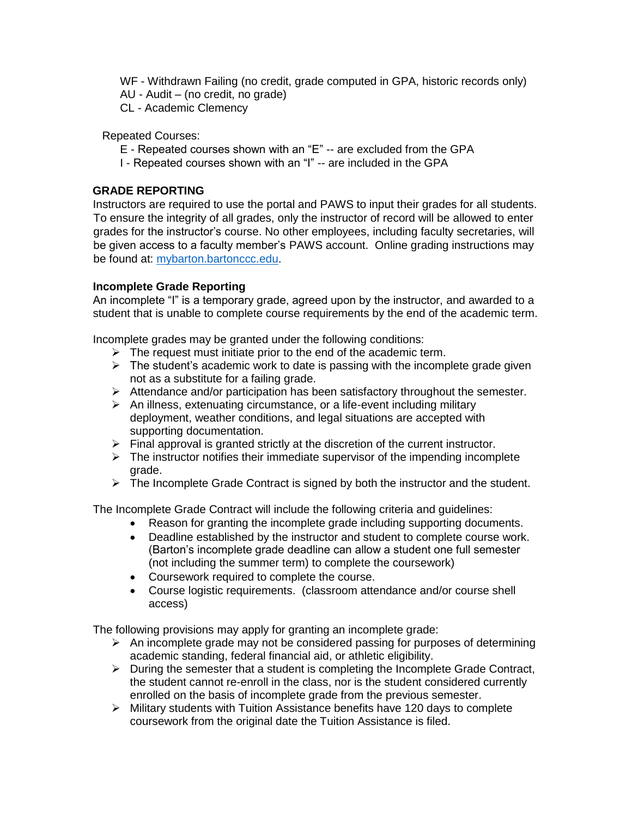WF - Withdrawn Failing (no credit, grade computed in GPA, historic records only) AU - Audit – (no credit, no grade)

CL - Academic Clemency

Repeated Courses:

- E Repeated courses shown with an "E" -- are excluded from the GPA
- I Repeated courses shown with an "I" -- are included in the GPA

# **GRADE REPORTING**

Instructors are required to use the portal and PAWS to input their grades for all students. To ensure the integrity of all grades, only the instructor of record will be allowed to enter grades for the instructor's course. No other employees, including faculty secretaries, will be given access to a faculty member's PAWS account. Online grading instructions may be found at: [mybarton.bartonccc.edu.](https://bartoncas.bartoncougars.org/cas-web/login?service=https%3A%2F%2Fmybarton.bartoncougars.org%2Fc%2Fportal%2Flogin)

## **Incomplete Grade Reporting**

An incomplete "I" is a temporary grade, agreed upon by the instructor, and awarded to a student that is unable to complete course requirements by the end of the academic term.

Incomplete grades may be granted under the following conditions:

- $\triangleright$  The request must initiate prior to the end of the academic term.
- $\triangleright$  The student's academic work to date is passing with the incomplete grade given not as a substitute for a failing grade.
- $\triangleright$  Attendance and/or participation has been satisfactory throughout the semester.
- $\triangleright$  An illness, extenuating circumstance, or a life-event including military deployment, weather conditions, and legal situations are accepted with supporting documentation.
- $\triangleright$  Final approval is granted strictly at the discretion of the current instructor.
- $\triangleright$  The instructor notifies their immediate supervisor of the impending incomplete grade.
- $\triangleright$  The Incomplete Grade Contract is signed by both the instructor and the student.

The Incomplete Grade Contract will include the following criteria and guidelines:

- Reason for granting the incomplete grade including supporting documents.
- Deadline established by the instructor and student to complete course work. (Barton's incomplete grade deadline can allow a student one full semester (not including the summer term) to complete the coursework)
- Coursework required to complete the course.
- Course logistic requirements. (classroom attendance and/or course shell access)

The following provisions may apply for granting an incomplete grade:

- $\triangleright$  An incomplete grade may not be considered passing for purposes of determining academic standing, federal financial aid, or athletic eligibility.
- $\triangleright$  During the semester that a student is completing the Incomplete Grade Contract, the student cannot re-enroll in the class, nor is the student considered currently enrolled on the basis of incomplete grade from the previous semester.
- $\triangleright$  Military students with Tuition Assistance benefits have 120 days to complete coursework from the original date the Tuition Assistance is filed.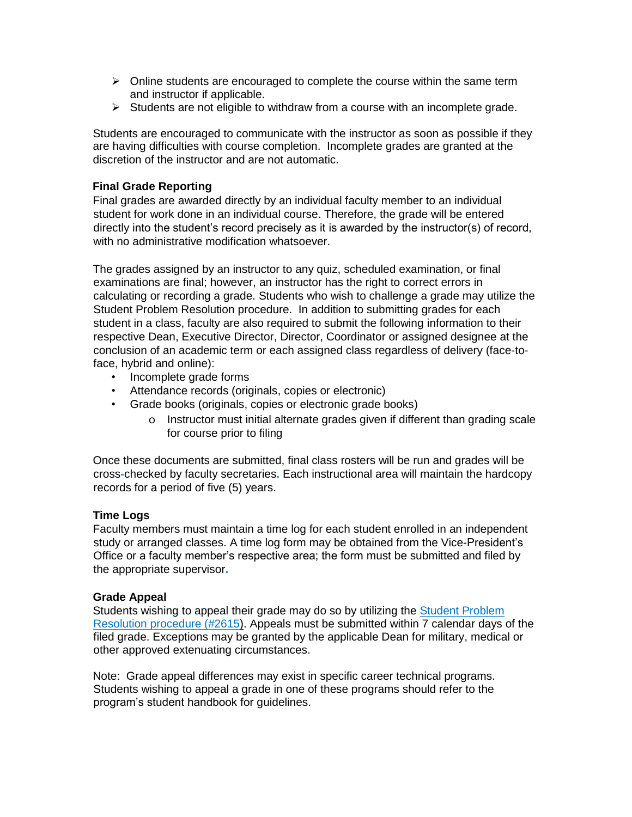- $\triangleright$  Online students are encouraged to complete the course within the same term and instructor if applicable.
- $\triangleright$  Students are not eligible to withdraw from a course with an incomplete grade.

Students are encouraged to communicate with the instructor as soon as possible if they are having difficulties with course completion. Incomplete grades are granted at the discretion of the instructor and are not automatic.

### **Final Grade Reporting**

Final grades are awarded directly by an individual faculty member to an individual student for work done in an individual course. Therefore, the grade will be entered directly into the student's record precisely as it is awarded by the instructor(s) of record, with no administrative modification whatsoever.

The grades assigned by an instructor to any quiz, scheduled examination, or final examinations are final; however, an instructor has the right to correct errors in calculating or recording a grade. Students who wish to challenge a grade may utilize the Student Problem Resolution procedure. In addition to submitting grades for each student in a class, faculty are also required to submit the following information to their respective Dean, Executive Director, Director, Coordinator or assigned designee at the conclusion of an academic term or each assigned class regardless of delivery (face-toface, hybrid and online):

- Incomplete grade forms
- Attendance records (originals, copies or electronic)
- Grade books (originals, copies or electronic grade books)
	- o Instructor must initial alternate grades given if different than grading scale for course prior to filing

Once these documents are submitted, final class rosters will be run and grades will be cross**-**checked by faculty secretaries**.** Each instructional area will maintain the hardcopy records for a period of five (5) years.

### **Time Logs**

Faculty members must maintain a time log for each student enrolled in an independent study or arranged classes. A time log form may be obtained from the Vice-President's Office or a faculty member's respective area; the form must be submitted and filed by the appropriate supervisor**.** 

### **Grade Appeal**

Students wishing to appeal their grade may do so by utilizing the [Student Problem](https://docs.bartonccc.edu/procedures/2615-problem_resolution.pdf)  [Resolution procedure \(#2615\).](https://docs.bartonccc.edu/procedures/2615-problem_resolution.pdf) Appeals must be submitted within 7 calendar days of the filed grade. Exceptions may be granted by the applicable Dean for military, medical or other approved extenuating circumstances.

Note: Grade appeal differences may exist in specific career technical programs. Students wishing to appeal a grade in one of these programs should refer to the program's student handbook for guidelines.